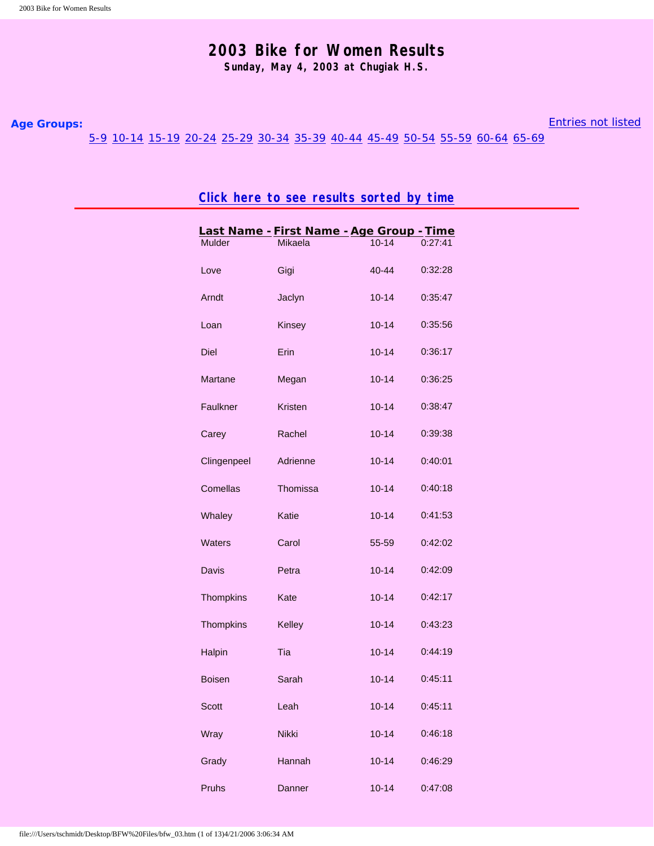## **2003 Bike for Women Results**

**Sunday, May 4, 2003 at Chugiak H.S.**

## <span id="page-0-1"></span><span id="page-0-0"></span>**Age Groups:**

[Entries not listed](#page-12-2)

[5-9](#page-11-0) [10-14](#page-0-0) [15-19](#page-1-0) [20-24](#page-1-1) [25-29](#page-2-0) [30-34](#page-3-0) [35-39](#page-5-0) [40-44](#page-6-0) [45-49](#page-8-0) [50-54](#page-10-0) [55-59](#page-11-1) [60-64](#page-12-0) [65-69](#page-12-1)

**[Click here to see results sorted by time](#page-13-0)**

| Mulder           | Mikaela      | $10 - 14$ | 0:27:41 |
|------------------|--------------|-----------|---------|
| Love             | Gigi         | $40 - 44$ | 0:32:28 |
| Arndt            | Jaclyn       | $10 - 14$ | 0:35:47 |
| Loan             | Kinsey       | $10 - 14$ | 0:35:56 |
| <b>Diel</b>      | <b>Erin</b>  | $10 - 14$ | 0:36:17 |
| Martane          | Megan        | $10 - 14$ | 0:36:25 |
| Faulkner         | Kristen      | $10 - 14$ | 0:38:47 |
| Carey            | Rachel       | $10 - 14$ | 0:39:38 |
| Clingenpeel      | Adrienne     | $10 - 14$ | 0:40:01 |
| Comellas         | Thomissa     | $10 - 14$ | 0:40:18 |
| Whaley           | Katie        | $10 - 14$ | 0:41:53 |
| <b>Waters</b>    | Carol        | 55-59     | 0:42:02 |
| Davis            | Petra        | $10 - 14$ | 0:42:09 |
| <b>Thompkins</b> | Kate         | $10 - 14$ | 0:42:17 |
| <b>Thompkins</b> | Kelley       | $10 - 14$ | 0:43:23 |
| Halpin           | Tia          | $10 - 14$ | 0:44:19 |
| <b>Boisen</b>    | Sarah        | $10 - 14$ | 0:45:11 |
| Scott            | Leah         | $10 - 14$ | 0:45:11 |
| Wray             | <b>Nikki</b> | $10 - 14$ | 0:46:18 |
| Grady            | Hannah       | $10 - 14$ | 0:46:29 |
| Pruhs            | Danner       | $10 - 14$ | 0:47:08 |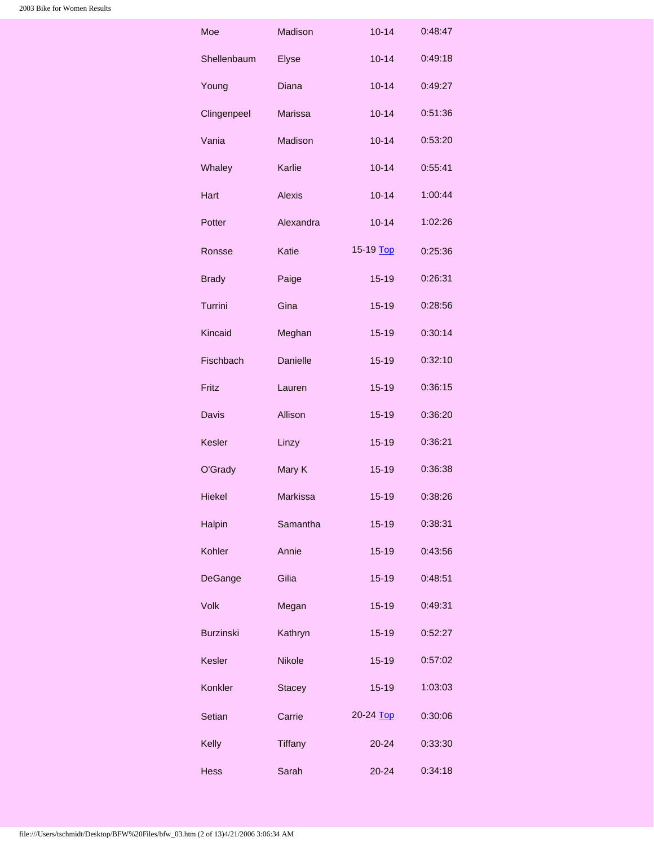<span id="page-1-1"></span><span id="page-1-0"></span>

| Moe              | Madison        | $10 - 14$ | 0:48:47 |
|------------------|----------------|-----------|---------|
| Shellenbaum      | Elyse          | $10 - 14$ | 0:49:18 |
| Young            | <b>Diana</b>   | $10 - 14$ | 0:49:27 |
| Clingenpeel      | <b>Marissa</b> | $10 - 14$ | 0:51:36 |
| Vania            | Madison        | $10 - 14$ | 0:53:20 |
| Whaley           | Karlie         | $10 - 14$ | 0:55:41 |
| Hart             | <b>Alexis</b>  | $10 - 14$ | 1:00:44 |
| Potter           | Alexandra      | $10 - 14$ | 1:02:26 |
| Ronsse           | Katie          | 15-19 Top | 0:25:36 |
| <b>Brady</b>     | Paige          | $15 - 19$ | 0:26:31 |
| Turrini          | Gina           | $15 - 19$ | 0:28:56 |
| Kincaid          | Meghan         | $15 - 19$ | 0:30:14 |
| Fischbach        | Danielle       | 15-19     | 0:32:10 |
| Fritz            | Lauren         | $15 - 19$ | 0:36:15 |
| Davis            | Allison        | $15 - 19$ | 0:36:20 |
| <b>Kesler</b>    | Linzy          | $15 - 19$ | 0:36:21 |
| O'Grady          | Mary K         | $15 - 19$ | 0:36:38 |
| <b>Hiekel</b>    | Markissa       | $15 - 19$ | 0:38:26 |
| Halpin           | Samantha       | $15 - 19$ | 0:38:31 |
| Kohler           | Annie          | $15 - 19$ | 0:43:56 |
| DeGange          | Gilia          | $15 - 19$ | 0:48:51 |
| <b>Volk</b>      | Megan          | $15 - 19$ | 0:49:31 |
| <b>Burzinski</b> | Kathryn        | $15 - 19$ | 0:52:27 |
| <b>Kesler</b>    | <b>Nikole</b>  | $15 - 19$ | 0:57:02 |
| Konkler          | <b>Stacey</b>  | $15 - 19$ | 1:03:03 |
| Setian           | Carrie         | 20-24 Top | 0:30:06 |
| Kelly            | Tiffany        | $20 - 24$ | 0:33:30 |
| <b>Hess</b>      | Sarah          | $20 - 24$ | 0:34:18 |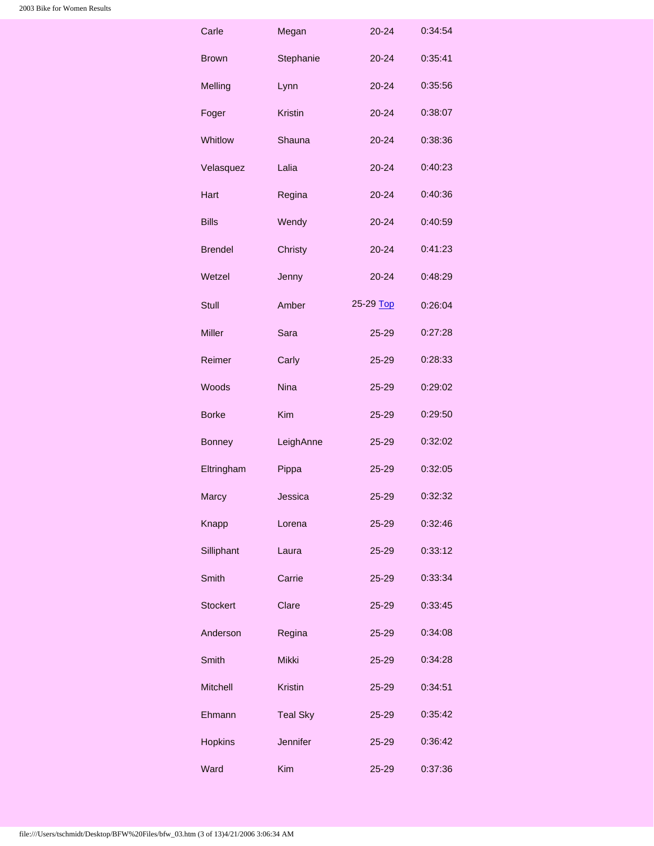<span id="page-2-0"></span>

| Carle           | Megan           | 20-24     | 0:34:54 |
|-----------------|-----------------|-----------|---------|
| Brown           | Stephanie       | $20 - 24$ | 0:35:41 |
| Melling         | Lynn            | $20 - 24$ | 0:35:56 |
| Foger           | <b>Kristin</b>  | $20 - 24$ | 0:38:07 |
| Whitlow         | Shauna          | $20 - 24$ | 0:38:36 |
| Velasquez       | Lalia           | $20 - 24$ | 0:40:23 |
| Hart            | Regina          | $20 - 24$ | 0:40:36 |
| <b>Bills</b>    | Wendy           | $20 - 24$ | 0:40:59 |
| <b>Brendel</b>  | Christy         | $20 - 24$ | 0:41:23 |
| Wetzel          | Jenny           | $20 - 24$ | 0:48:29 |
| <b>Stull</b>    | Amber           | 25-29 Top | 0:26:04 |
| <b>Miller</b>   | Sara            | 25-29     | 0:27:28 |
| Reimer          | Carly           | 25-29     | 0:28:33 |
| Woods           | <b>Nina</b>     | 25-29     | 0:29:02 |
| <b>Borke</b>    | <b>Kim</b>      | 25-29     | 0:29:50 |
| <b>Bonney</b>   | LeighAnne       | 25-29     | 0:32:02 |
| Eltringham      | Pippa           | 25-29     | 0:32:05 |
| Marcy           | Jessica         | 25-29     | 0:32:32 |
| Knapp           | Lorena          | $25 - 29$ | 0:32:46 |
| Silliphant      | Laura           | 25-29     | 0:33:12 |
| <b>Smith</b>    | Carrie          | $25 - 29$ | 0:33:34 |
| <b>Stockert</b> | Clare           | 25-29     | 0:33:45 |
|                 |                 |           |         |
| Anderson        | Regina          | 25-29     | 0:34:08 |
| <b>Smith</b>    | Mikki           | 25-29     | 0:34:28 |
| <b>Mitchell</b> | <b>Kristin</b>  | $25 - 29$ | 0:34:51 |
| Ehmann          | <b>Teal Sky</b> | 25-29     | 0:35:42 |
| <b>Hopkins</b>  | <b>Jennifer</b> | $25 - 29$ | 0:36:42 |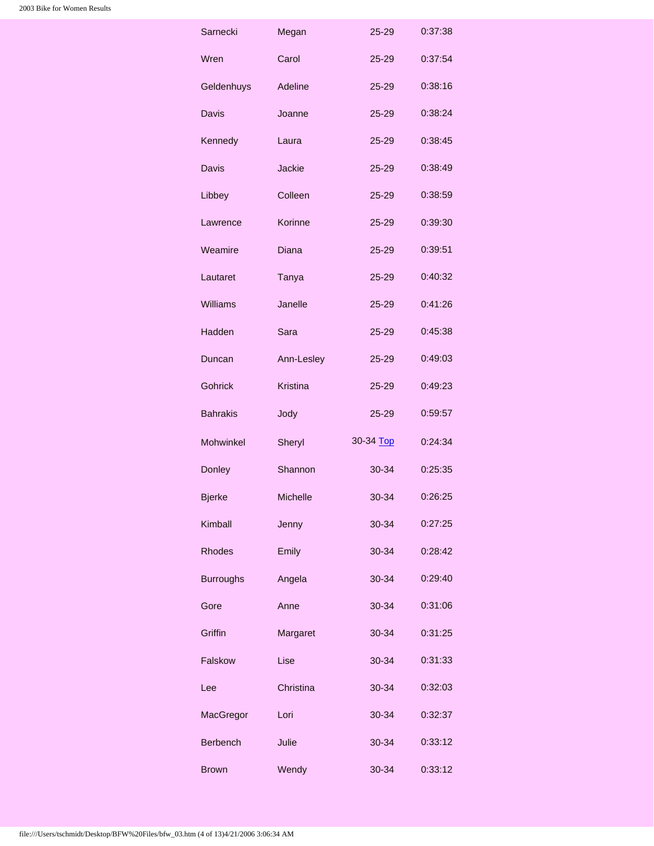<span id="page-3-0"></span>

| Sarnecki         | Megan           | 25-29     | 0:37:38 |
|------------------|-----------------|-----------|---------|
| Wren             | Carol           | 25-29     | 0:37:54 |
| Geldenhuys       | Adeline         | 25-29     | 0:38:16 |
| Davis            | Joanne          | 25-29     | 0:38:24 |
| Kennedy          | Laura           | 25-29     | 0:38:45 |
| Davis            | <b>Jackie</b>   | 25-29     | 0:38:49 |
| Libbey           | Colleen         | 25-29     | 0:38:59 |
| Lawrence         | Korinne         | 25-29     | 0:39:30 |
| Weamire          | Diana           | 25-29     | 0:39:51 |
| Lautaret         | <b>Tanya</b>    | $25 - 29$ | 0:40:32 |
| Williams         | Janelle         | 25-29     | 0:41:26 |
| Hadden           | Sara            | 25-29     | 0:45:38 |
| Duncan           | Ann-Lesley      | 25-29     | 0:49:03 |
| Gohrick          | <b>Kristina</b> | 25-29     | 0:49:23 |
| <b>Bahrakis</b>  | Jody            | 25-29     | 0:59:57 |
| <b>Mohwinkel</b> | Sheryl          | 30-34 Top | 0:24:34 |
| Donley           | Shannon         | 30-34     | 0:25:35 |
| <b>Bjerke</b>    | <b>Michelle</b> |           |         |
|                  |                 | 30-34     | 0:26:25 |
| Kimball          | Jenny           | $30 - 34$ | 0:27:25 |
| <b>Rhodes</b>    | Emily           | 30-34     | 0:28:42 |
| <b>Burroughs</b> | Angela          | 30-34     | 0:29:40 |
| Gore             | Anne            | 30-34     | 0:31:06 |
| Griffin          | Margaret        | 30-34     | 0:31:25 |
| Falskow          | Lise            | 30-34     | 0:31:33 |
| Lee              | Christina       | 30-34     | 0:32:03 |
| MacGregor        | Lori            | 30-34     | 0:32:37 |
| <b>Berbench</b>  | Julie           | 30-34     | 0:33:12 |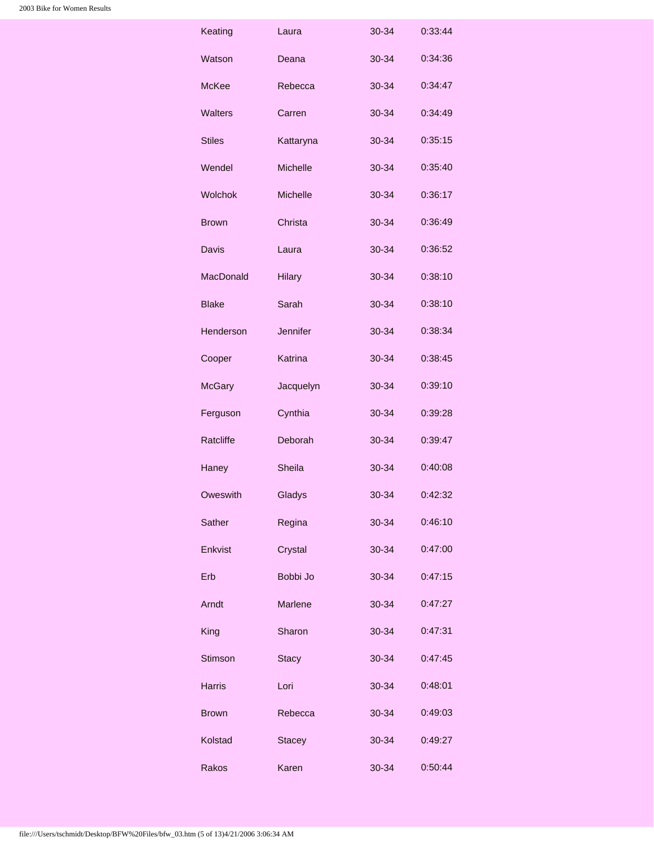| Keating          | Laura           | 30-34     | 0:33:44 |
|------------------|-----------------|-----------|---------|
| Watson           | Deana           | $30 - 34$ | 0:34:36 |
| <b>McKee</b>     | Rebecca         | 30-34     | 0:34:47 |
| <b>Walters</b>   | Carren          | 30-34     | 0:34:49 |
| <b>Stiles</b>    | Kattaryna       | 30-34     | 0:35:15 |
| Wendel           | <b>Michelle</b> | 30-34     | 0:35:40 |
| <b>Wolchok</b>   | <b>Michelle</b> | 30-34     | 0:36:17 |
| Brown            | Christa         | 30-34     | 0:36:49 |
| Davis            | Laura           | 30-34     | 0:36:52 |
| <b>MacDonald</b> | <b>Hilary</b>   | 30-34     | 0:38:10 |
| <b>Blake</b>     | Sarah           | $30 - 34$ | 0:38:10 |
| Henderson        | Jennifer        | 30-34     | 0:38:34 |
| Cooper           | Katrina         | 30-34     | 0:38:45 |
| <b>McGary</b>    | Jacquelyn       | 30-34     | 0:39:10 |
| Ferguson         | Cynthia         | 30-34     | 0:39:28 |
| Ratcliffe        | Deborah         | 30-34     | 0:39:47 |
| Haney            | Sheila          | 30-34     | 0:40:08 |
| Oweswith         | Gladys          | 30-34     | 0:42:32 |
| Sather           | Regina          | 30-34     | 0:46:10 |
| Enkvist          | Crystal         | 30-34     | 0:47:00 |
| Erb              | Bobbi Jo        | 30-34     | 0:47:15 |
| Arndt            | <b>Marlene</b>  | 30-34     | 0:47:27 |
| King             | Sharon          | 30-34     | 0:47:31 |
| Stimson          | <b>Stacy</b>    | 30-34     | 0:47:45 |
| <b>Harris</b>    | Lori            | 30-34     | 0:48:01 |
| <b>Brown</b>     | Rebecca         | 30-34     | 0:49:03 |
| Kolstad          | <b>Stacey</b>   | 30-34     | 0:49:27 |
| Rakos            | Karen           | 30-34     | 0:50:44 |
|                  |                 |           |         |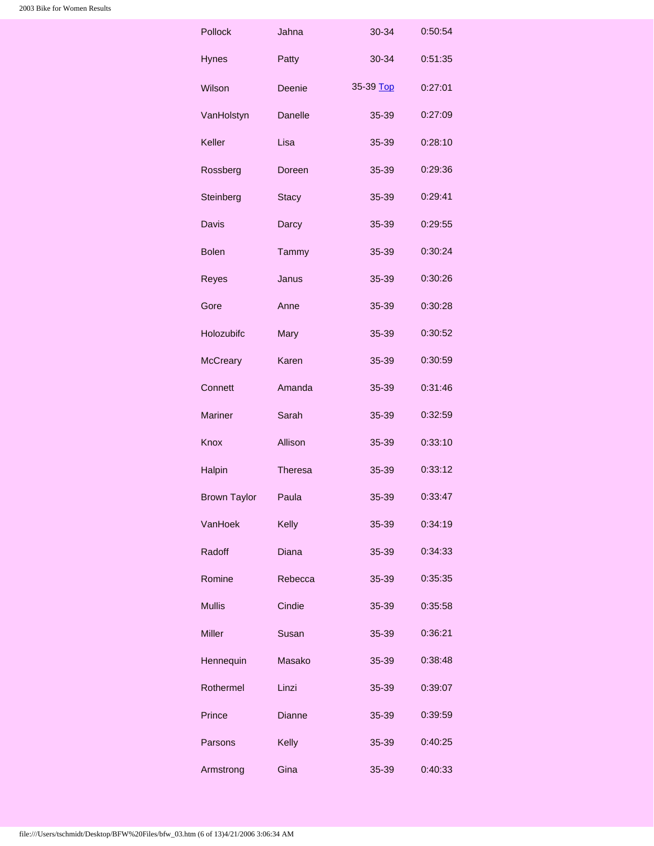<span id="page-5-0"></span>

| Pollock             | Jahna          | 30-34     | 0:50:54 |
|---------------------|----------------|-----------|---------|
| <b>Hynes</b>        | Patty          | 30-34     | 0:51:35 |
| Wilson              | Deenie         | 35-39 Top | 0:27:01 |
| VanHolstyn          | <b>Danelle</b> | 35-39     | 0:27:09 |
| Keller              | Lisa           | 35-39     | 0:28:10 |
| Rossberg            | Doreen         | 35-39     | 0:29:36 |
| Steinberg           | <b>Stacy</b>   | 35-39     | 0:29:41 |
| Davis               | Darcy          | 35-39     | 0:29:55 |
| <b>Bolen</b>        | Tammy          | 35-39     | 0:30:24 |
| <b>Reyes</b>        | Janus          | 35-39     | 0:30:26 |
| Gore                | Anne           | 35-39     | 0:30:28 |
| Holozubifc          | Mary           | 35-39     | 0:30:52 |
| <b>McCreary</b>     | Karen          | 35-39     | 0:30:59 |
| Connett             | Amanda         | 35-39     | 0:31:46 |
| <b>Mariner</b>      | Sarah          | 35-39     | 0:32:59 |
| Knox                | Allison        | 35-39     | 0:33:10 |
| Halpin              | <b>Theresa</b> | 35-39     | 0:33:12 |
| <b>Brown Taylor</b> | Paula          | 35-39     | 0:33:47 |
| VanHoek             | Kelly          | 35-39     | 0:34:19 |
| Radoff              | Diana          | 35-39     | 0:34:33 |
| Romine              | Rebecca        | 35-39     | 0:35:35 |
| <b>Mullis</b>       | Cindie         | 35-39     | 0:35:58 |
| Miller              | Susan          | 35-39     | 0:36:21 |
| Hennequin           | Masako         | 35-39     | 0:38:48 |
| Rothermel           | Linzi          | 35-39     | 0:39:07 |
| Prince              | Dianne         | 35-39     | 0:39:59 |
| Parsons             | Kelly          | 35-39     | 0:40:25 |
| Armstrong           | Gina           | 35-39     | 0:40:33 |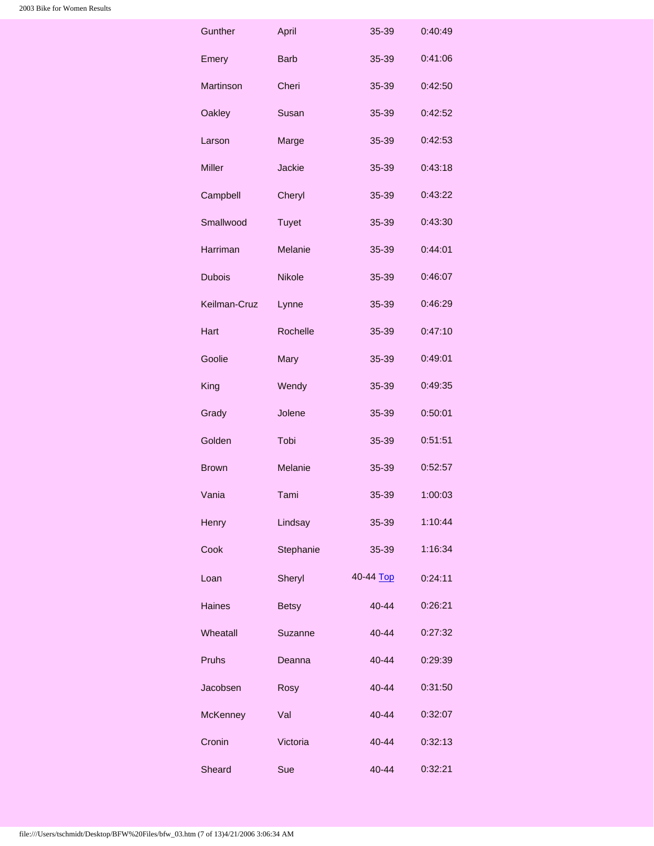<span id="page-6-0"></span>

| Gunther         | April         | 35-39     | 0:40:49 |
|-----------------|---------------|-----------|---------|
| Emery           | <b>Barb</b>   | 35-39     | 0:41:06 |
| Martinson       | Cheri         | 35-39     | 0:42:50 |
| Oakley          | Susan         | 35-39     | 0:42:52 |
| Larson          | Marge         | 35-39     | 0:42:53 |
| <b>Miller</b>   | Jackie        | 35-39     | 0:43:18 |
| Campbell        | Cheryl        | 35-39     | 0:43:22 |
| Smallwood       | <b>Tuyet</b>  | 35-39     | 0:43:30 |
| Harriman        | Melanie       | 35-39     | 0:44:01 |
| <b>Dubois</b>   | <b>Nikole</b> | 35-39     | 0:46:07 |
| Keilman-Cruz    | Lynne         | 35-39     | 0:46:29 |
| Hart            | Rochelle      | 35-39     | 0:47:10 |
| Goolie          | Mary          | 35-39     | 0:49:01 |
| King            | Wendy         | 35-39     | 0:49:35 |
| Grady           | Jolene        | 35-39     | 0:50:01 |
| Golden          | Tobi          | 35-39     | 0:51:51 |
| <b>Brown</b>    | Melanie       | 35-39     | 0:52:57 |
| Vania           | Tami          | 35-39     | 1:00:03 |
| Henry           | Lindsay       | 35-39     | 1:10:44 |
| Cook            | Stephanie     | 35-39     | 1:16:34 |
| Loan            | Sheryl        | 40-44 Top | 0:24:11 |
| <b>Haines</b>   | <b>Betsy</b>  | 40-44     | 0:26:21 |
| Wheatall        | Suzanne       | $40 - 44$ | 0:27:32 |
| <b>Pruhs</b>    | Deanna        | 40-44     | 0:29:39 |
| Jacobsen        | Rosy          | 40-44     | 0:31:50 |
| <b>McKenney</b> | Val           | 40-44     | 0:32:07 |
| Cronin          | Victoria      | 40-44     | 0:32:13 |
| Sheard          | Sue           | 40-44     | 0:32:21 |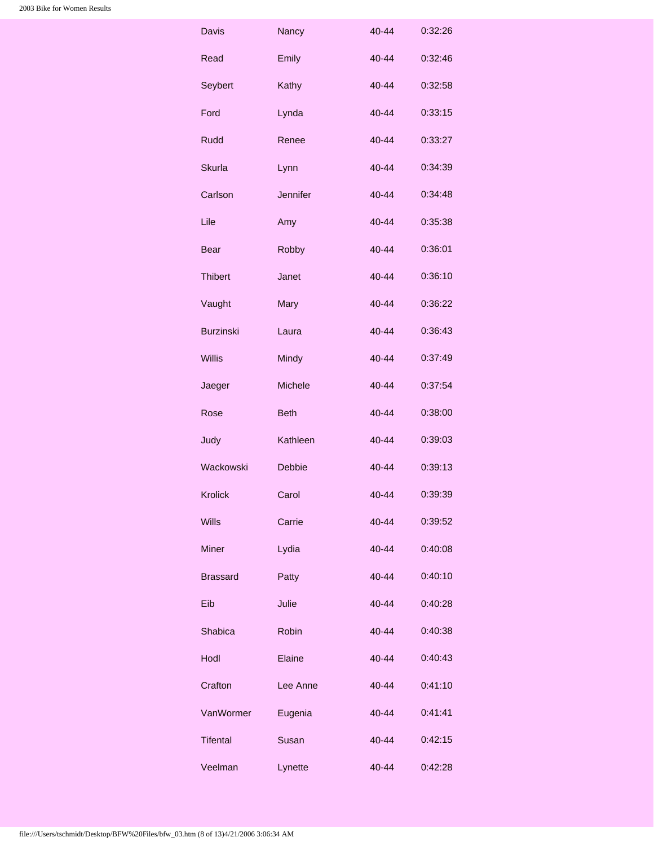| Davis            | Nancy           | 40-44     | 0:32:26 |
|------------------|-----------------|-----------|---------|
| Read             | Emily           | 40-44     | 0:32:46 |
| Seybert          | Kathy           | 40-44     | 0:32:58 |
| Ford             | Lynda           | 40-44     | 0:33:15 |
| Rudd             | Renee           | 40-44     | 0:33:27 |
| <b>Skurla</b>    | Lynn            | $40 - 44$ | 0:34:39 |
| Carlson          | <b>Jennifer</b> | 40-44     | 0:34:48 |
| Lile             | Amy             | 40-44     | 0:35:38 |
| <b>Bear</b>      | Robby           | $40 - 44$ | 0:36:01 |
| <b>Thibert</b>   | Janet           | 40-44     | 0:36:10 |
| Vaught           | Mary            | 40-44     | 0:36:22 |
| <b>Burzinski</b> | Laura           | $40 - 44$ | 0:36:43 |
| <b>Willis</b>    | Mindy           | 40-44     | 0:37:49 |
| Jaeger           | Michele         | 40-44     | 0:37:54 |
| Rose             | <b>Beth</b>     | 40-44     | 0:38:00 |
| Judy             | Kathleen        | 40-44     | 0:39:03 |
| Wackowski        | <b>Debbie</b>   | $40 - 44$ | 0:39:13 |
| <b>Krolick</b>   | Carol           | 40-44     | 0:39:39 |
| <b>Wills</b>     | Carrie          | 40-44     | 0:39:52 |
| <b>Miner</b>     | Lydia           | $40 - 44$ | 0:40:08 |
| <b>Brassard</b>  | Patty           | 40-44     | 0:40:10 |
| Eib              | Julie           | $40 - 44$ | 0:40:28 |
| Shabica          | Robin           | 40-44     | 0:40:38 |
| Hodl             | Elaine          | $40 - 44$ | 0:40:43 |
| Crafton          | Lee Anne        | $40 - 44$ | 0:41:10 |
| VanWormer        | Eugenia         | $40 - 44$ | 0:41:41 |
| <b>Tifental</b>  | Susan           | 40-44     | 0:42:15 |
| Veelman          | Lynette         | 40-44     | 0:42:28 |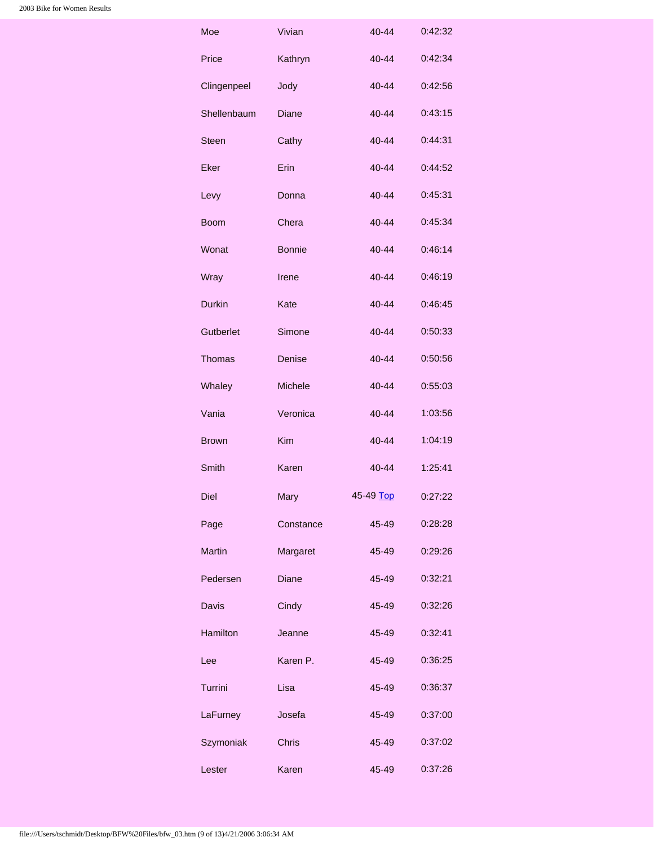<span id="page-8-0"></span>

| Moe             | Vivian        | 40-44     | 0:42:32 |
|-----------------|---------------|-----------|---------|
| Price           | Kathryn       | $40 - 44$ | 0:42:34 |
| Clingenpeel     | Jody          | 40-44     | 0:42:56 |
| Shellenbaum     | Diane         | 40-44     | 0:43:15 |
| <b>Steen</b>    | Cathy         | 40-44     | 0:44:31 |
| Eker            | Erin          | $40 - 44$ | 0:44:52 |
| Levy            | Donna         | 40-44     | 0:45:31 |
| <b>Boom</b>     | Chera         | 40-44     | 0:45:34 |
| Wonat           | <b>Bonnie</b> | 40-44     | 0:46:14 |
| Wray            | Irene         | 40-44     | 0:46:19 |
| <b>Durkin</b>   | Kate          | 40-44     | 0:46:45 |
| Gutberlet       | Simone        | 40-44     | 0:50:33 |
| Thomas          | Denise        | 40-44     | 0:50:56 |
| Whaley          | Michele       | 40-44     | 0:55:03 |
| Vania           | Veronica      | 40-44     | 1:03:56 |
| <b>Brown</b>    | <b>Kim</b>    | 40-44     | 1:04:19 |
| Smith           | Karen         | 40-44     | 1:25:41 |
| Diel            | Mary          | 45-49 Top | 0:27:22 |
| Page            | Constance     | 45-49     | 0:28:28 |
| <b>Martin</b>   | Margaret      | 45-49     | 0:29:26 |
| Pedersen        | Diane         | 45-49     | 0:32:21 |
| Davis           | Cindy         | 45-49     | 0:32:26 |
| <b>Hamilton</b> | Jeanne        | 45-49     | 0:32:41 |
| Lee             | Karen P.      | 45-49     | 0:36:25 |
| Turrini         | Lisa          | 45-49     | 0:36:37 |
| LaFurney        | Josefa        | 45-49     | 0:37:00 |
| Szymoniak       | <b>Chris</b>  | 45-49     | 0:37:02 |
| Lester          | Karen         | 45-49     | 0:37:26 |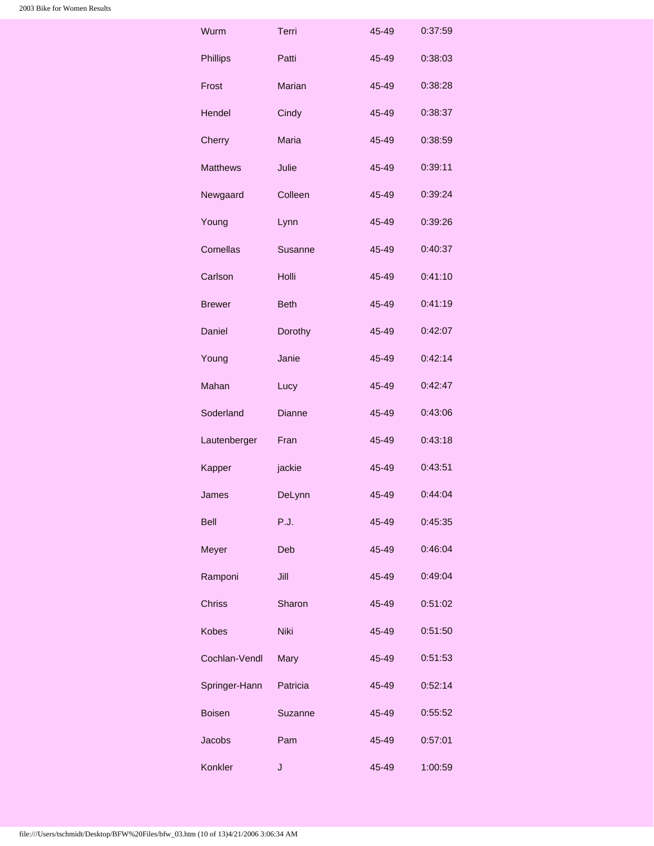| Wurm            | Terri          | 45-49 | 0:37:59 |
|-----------------|----------------|-------|---------|
| <b>Phillips</b> | Patti          | 45-49 | 0:38:03 |
| Frost           | Marian         | 45-49 | 0:38:28 |
| Hendel          | Cindy          | 45-49 | 0:38:37 |
| Cherry          | Maria          | 45-49 | 0:38:59 |
| <b>Matthews</b> | Julie          | 45-49 | 0:39:11 |
| Newgaard        | Colleen        | 45-49 | 0:39:24 |
| Young           | Lynn           | 45-49 | 0:39:26 |
| Comellas        | <b>Susanne</b> | 45-49 | 0:40:37 |
| Carlson         | Holli          | 45-49 | 0:41:10 |
| <b>Brewer</b>   | <b>Beth</b>    | 45-49 | 0:41:19 |
| Daniel          | Dorothy        | 45-49 | 0:42:07 |
| Young           | Janie          | 45-49 | 0:42:14 |
| Mahan           | Lucy           | 45-49 | 0:42:47 |
| Soderland       | <b>Dianne</b>  | 45-49 | 0:43:06 |
| Lautenberger    | Fran           | 45-49 | 0:43:18 |
| Kapper          |                | 45-49 | 0:43:51 |
|                 | jackie         |       |         |
| James           | DeLynn         | 45-49 | 0:44:04 |
| Bell            | <b>P.J.</b>    | 45-49 | 0:45:35 |
| Meyer           | Deb            | 45-49 | 0:46:04 |
| Ramponi         | Jill           | 45-49 | 0:49:04 |
| <b>Chriss</b>   | Sharon         | 45-49 | 0:51:02 |
| <b>Kobes</b>    | Niki           | 45-49 | 0:51:50 |
| Cochlan-Vendl   | Mary           | 45-49 | 0:51:53 |
| Springer-Hann   | Patricia       | 45-49 | 0:52:14 |
| <b>Boisen</b>   | Suzanne        | 45-49 | 0:55:52 |
| <b>Jacobs</b>   | Pam            | 45-49 | 0:57:01 |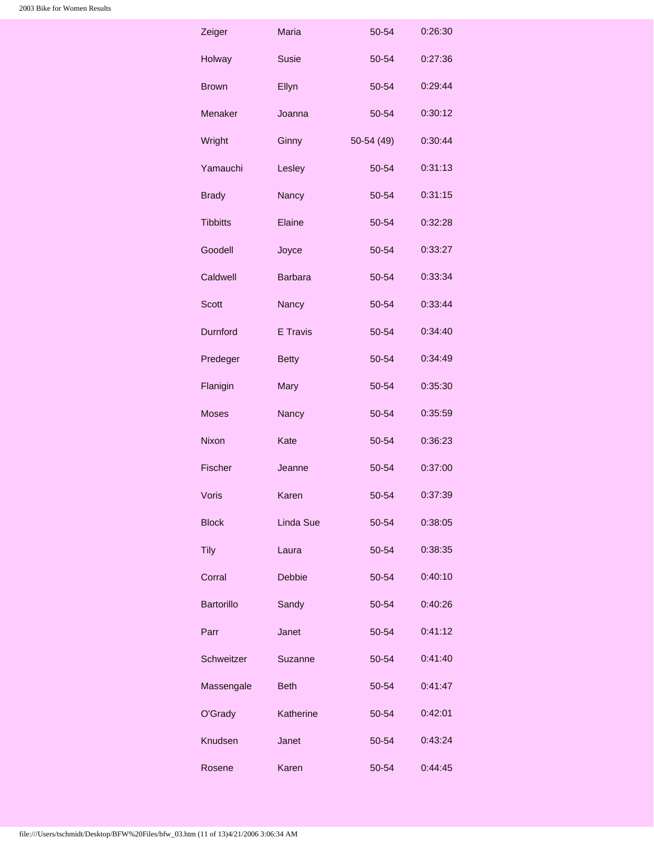<span id="page-10-0"></span>

| Zeiger            | Maria          | 50-54       | 0:26:30 |
|-------------------|----------------|-------------|---------|
| Holway            | Susie          | 50-54       | 0:27:36 |
| <b>Brown</b>      | Ellyn          | 50-54       | 0:29:44 |
| Menaker           | Joanna         | 50-54       | 0:30:12 |
| Wright            | Ginny          | $50-54(49)$ | 0:30:44 |
| Yamauchi          | Lesley         | 50-54       | 0:31:13 |
| <b>Brady</b>      | Nancy          | 50-54       | 0:31:15 |
| <b>Tibbitts</b>   | Elaine         | 50-54       | 0:32:28 |
| Goodell           | Joyce          | 50-54       | 0:33:27 |
| Caldwell          | <b>Barbara</b> | 50-54       | 0:33:34 |
| <b>Scott</b>      | Nancy          | 50-54       | 0:33:44 |
| Durnford          | E Travis       | 50-54       | 0:34:40 |
| Predeger          | <b>Betty</b>   | 50-54       | 0:34:49 |
| Flanigin          | Mary           | 50-54       | 0:35:30 |
| <b>Moses</b>      | Nancy          | 50-54       | 0:35:59 |
| Nixon             | Kate           | 50-54       | 0:36:23 |
| Fischer           | Jeanne         | 50-54       | 0:37:00 |
| <b>Voris</b>      | Karen          | 50-54       | 0:37:39 |
| <b>Block</b>      | Linda Sue      | 50-54       | 0:38:05 |
| <b>Tily</b>       | Laura          | 50-54       | 0:38:35 |
| Corral            | Debbie         | 50-54       | 0:40:10 |
| <b>Bartorillo</b> | Sandy          | 50-54       | 0:40:26 |
| Parr              | Janet          | 50-54       | 0:41:12 |
| Schweitzer        | Suzanne        | 50-54       | 0:41:40 |
| Massengale        | <b>Beth</b>    | 50-54       | 0:41:47 |
| O'Grady           | Katherine      | 50-54       | 0:42:01 |
| Knudsen           | Janet          | 50-54       | 0:43:24 |
| Rosene            | Karen          | 50-54       | 0:44:45 |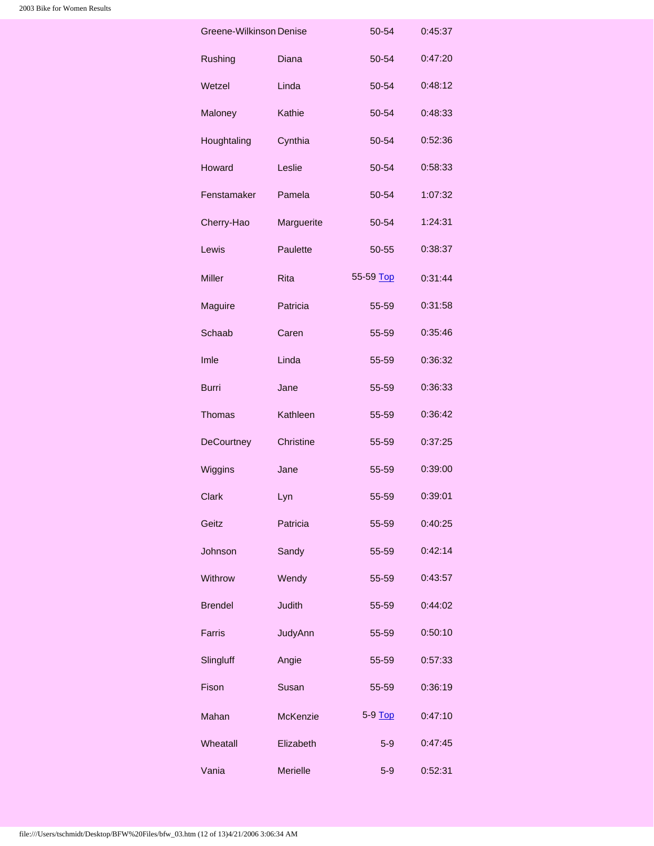<span id="page-11-1"></span><span id="page-11-0"></span>

| Greene-Wilkinson Denise |                 | 50-54     | 0:45:37 |
|-------------------------|-----------------|-----------|---------|
| Rushing                 | Diana           | 50-54     | 0:47:20 |
| Wetzel                  | Linda           | 50-54     | 0:48:12 |
| Maloney                 | Kathie          | 50-54     | 0:48:33 |
| Houghtaling             | Cynthia         | 50-54     | 0:52:36 |
| Howard                  | Leslie          | 50-54     | 0:58:33 |
| Fenstamaker             | Pamela          | 50-54     | 1:07:32 |
| Cherry-Hao              | Marguerite      | 50-54     | 1:24:31 |
| Lewis                   | Paulette        | 50-55     | 0:38:37 |
| <b>Miller</b>           | <b>Rita</b>     | 55-59 Top | 0:31:44 |
| Maguire                 | Patricia        | 55-59     | 0:31:58 |
| Schaab                  | Caren           | 55-59     | 0:35:46 |
| Imle                    | Linda           | 55-59     | 0:36:32 |
| <b>Burri</b>            | Jane            | 55-59     | 0:36:33 |
| <b>Thomas</b>           | Kathleen        | 55-59     | 0:36:42 |
| <b>DeCourtney</b>       | Christine       | 55-59     | 0:37:25 |
| Wiggins                 | Jane            | 55-59     | 0:39:00 |
| Clark                   | Lyn             | 55-59     | 0:39:01 |
| Geitz                   | Patricia        | 55-59     | 0:40:25 |
| Johnson                 | Sandy           | 55-59     | 0:42:14 |
| Withrow                 | Wendy           | 55-59     | 0:43:57 |
| <b>Brendel</b>          | <b>Judith</b>   | 55-59     | 0:44:02 |
| Farris                  | JudyAnn         | 55-59     | 0:50:10 |
| Slingluff               | Angie           | 55-59     | 0:57:33 |
| Fison                   | Susan           | 55-59     | 0:36:19 |
| Mahan                   | <b>McKenzie</b> | 5-9 Top   | 0:47:10 |
| Wheatall                | Elizabeth       | $5-9$     | 0:47:45 |
| Vania                   | <b>Merielle</b> | $5-9$     | 0:52:31 |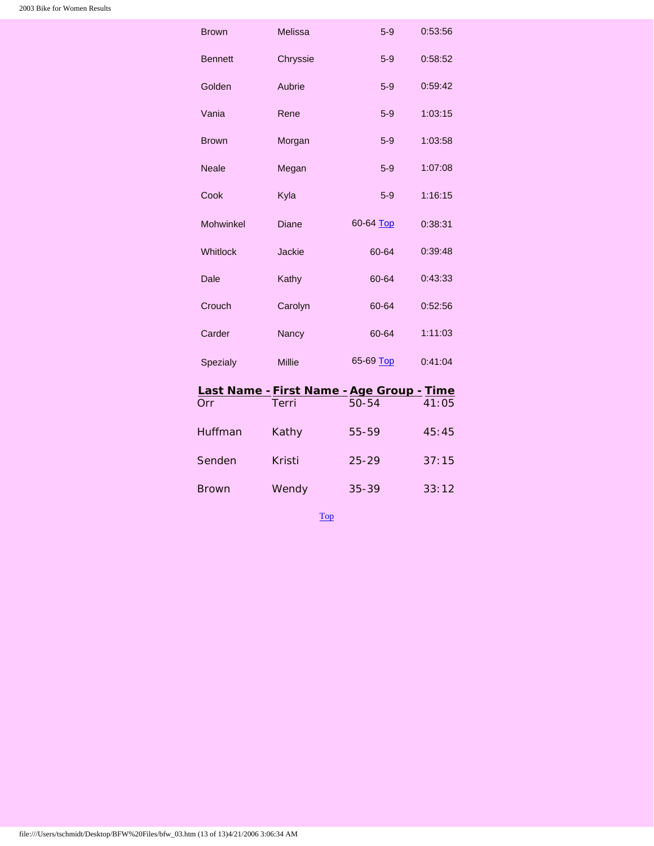| <b>Brown</b>     | Melissa       | $5-9$     | 0:53:56 |
|------------------|---------------|-----------|---------|
| <b>Bennett</b>   | Chryssie      | $5-9$     | 0:58:52 |
| Golden           | Aubrie        | $5-9$     | 0:59:42 |
| Vania            | Rene          | $5-9$     | 1:03:15 |
| <b>Brown</b>     | Morgan        | $5-9$     | 1:03:58 |
| <b>Neale</b>     | Megan         | $5-9$     | 1:07:08 |
| Cook             | Kyla          | $5-9$     | 1:16:15 |
| <b>Mohwinkel</b> | Diane         | 60-64 Top | 0:38:31 |
| Whitlock         | <b>Jackie</b> | 60-64     | 0:39:48 |
| Dale             | Kathy         | 60-64     | 0:43:33 |
| Crouch           | Carolyn       | 60-64     | 0:52:56 |
| Carder           | Nancy         | 60-64     | 1:11:03 |
| Spezialy         | <b>Millie</b> | 65-69 Top | 0:41:04 |
|                  |               |           |         |

## <span id="page-12-0"></span>**Last Name -First Name -Age Group - Time**

<span id="page-12-2"></span><span id="page-12-1"></span>

| Orr          | Terri  | $50 - 54$ | 41:05 |
|--------------|--------|-----------|-------|
| Huffman      | Kathy  | 55-59     | 45:45 |
| Senden       | Kristi | $25 - 29$ | 37:15 |
| <b>Brown</b> | Wendy  | $35 - 39$ | 33:12 |

[Top](#page-0-1)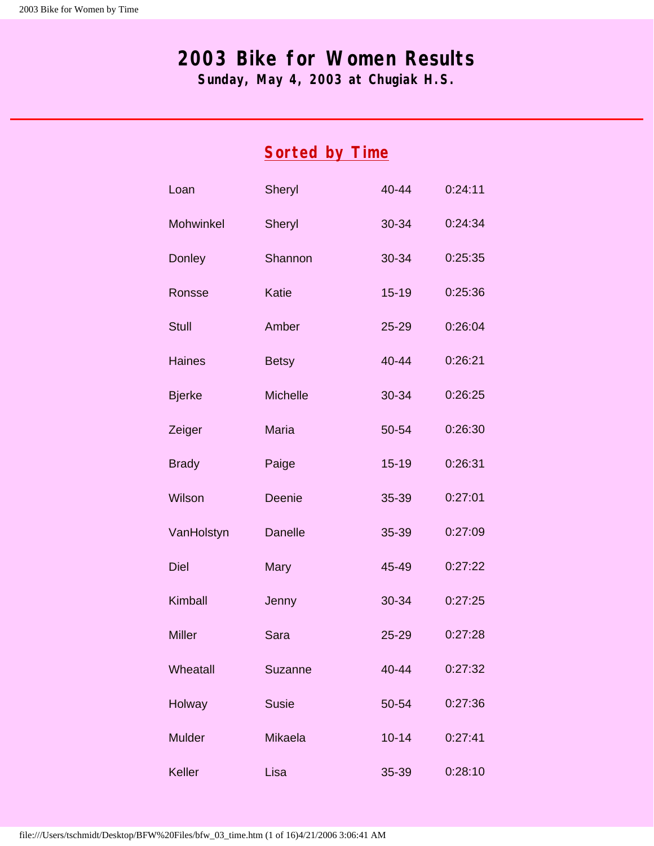## <span id="page-13-1"></span><span id="page-13-0"></span>**2003 Bike for Women Results**

**Sunday, May 4, 2003 at Chugiak H.S.**

|                  | <b>Sorted by Time</b> |           |         |  |  |
|------------------|-----------------------|-----------|---------|--|--|
| Loan             | Sheryl                | 40-44     | 0:24:11 |  |  |
| <b>Mohwinkel</b> | Sheryl                | 30-34     | 0:24:34 |  |  |
| Donley           | Shannon               | 30-34     | 0:25:35 |  |  |
| Ronsse           | Katie                 | $15 - 19$ | 0:25:36 |  |  |
| <b>Stull</b>     | Amber                 | $25 - 29$ | 0:26:04 |  |  |
| <b>Haines</b>    | <b>Betsy</b>          | 40-44     | 0:26:21 |  |  |
| <b>Bjerke</b>    | <b>Michelle</b>       | 30-34     | 0:26:25 |  |  |
| Zeiger           | <b>Maria</b>          | 50-54     | 0:26:30 |  |  |
| <b>Brady</b>     | Paige                 | $15 - 19$ | 0:26:31 |  |  |
| Wilson           | <b>Deenie</b>         | 35-39     | 0:27:01 |  |  |
| VanHolstyn       | <b>Danelle</b>        | 35-39     | 0:27:09 |  |  |
| <b>Diel</b>      | Mary                  | 45-49     | 0:27:22 |  |  |
| Kimball          | Jenny                 | $30 - 34$ | 0:27:25 |  |  |
| <b>Miller</b>    | Sara                  | $25 - 29$ | 0:27:28 |  |  |
| Wheatall         | <b>Suzanne</b>        | $40 - 44$ | 0:27:32 |  |  |
| Holway           | <b>Susie</b>          | 50-54     | 0:27:36 |  |  |
| <b>Mulder</b>    | <b>Mikaela</b>        | $10 - 14$ | 0:27:41 |  |  |
| Keller           | Lisa                  | 35-39     | 0:28:10 |  |  |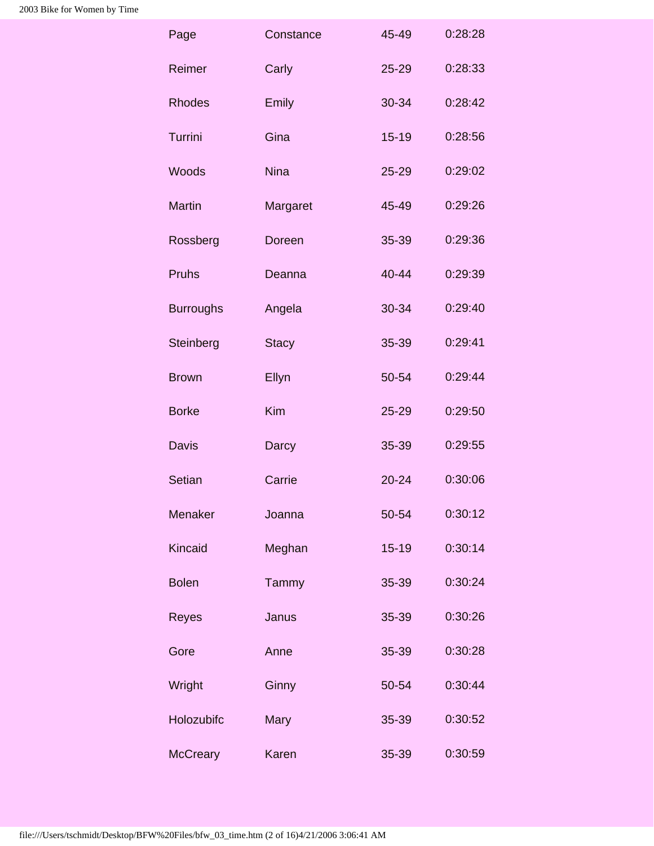| Page             | Constance    | 45-49     | 0:28:28 |
|------------------|--------------|-----------|---------|
| Reimer           | Carly        | $25 - 29$ | 0:28:33 |
| <b>Rhodes</b>    | Emily        | 30-34     | 0:28:42 |
| Turrini          | Gina         | $15 - 19$ | 0:28:56 |
| <b>Woods</b>     | <b>Nina</b>  | $25 - 29$ | 0:29:02 |
| <b>Martin</b>    | Margaret     | 45-49     | 0:29:26 |
| Rossberg         | Doreen       | 35-39     | 0:29:36 |
| <b>Pruhs</b>     | Deanna       | 40-44     | 0:29:39 |
| <b>Burroughs</b> | Angela       | 30-34     | 0:29:40 |
| Steinberg        | <b>Stacy</b> | 35-39     | 0:29:41 |
| <b>Brown</b>     | Ellyn        | 50-54     | 0:29:44 |
| <b>Borke</b>     | Kim          | 25-29     | 0:29:50 |
| <b>Davis</b>     | Darcy        | 35-39     | 0:29:55 |
| Setian           | Carrie       | $20 - 24$ | 0:30:06 |
| Menaker          | Joanna       | 50-54     | 0:30:12 |
| Kincaid          | Meghan       | $15 - 19$ | 0:30:14 |
| <b>Bolen</b>     | Tammy        | 35-39     | 0:30:24 |
| Reyes            | Janus        | 35-39     | 0:30:26 |
| Gore             | Anne         | 35-39     | 0:30:28 |
| Wright           | Ginny        | 50-54     | 0:30:44 |
| Holozubifc       | Mary         | 35-39     | 0:30:52 |
| McCreary         | Karen        | 35-39     | 0:30:59 |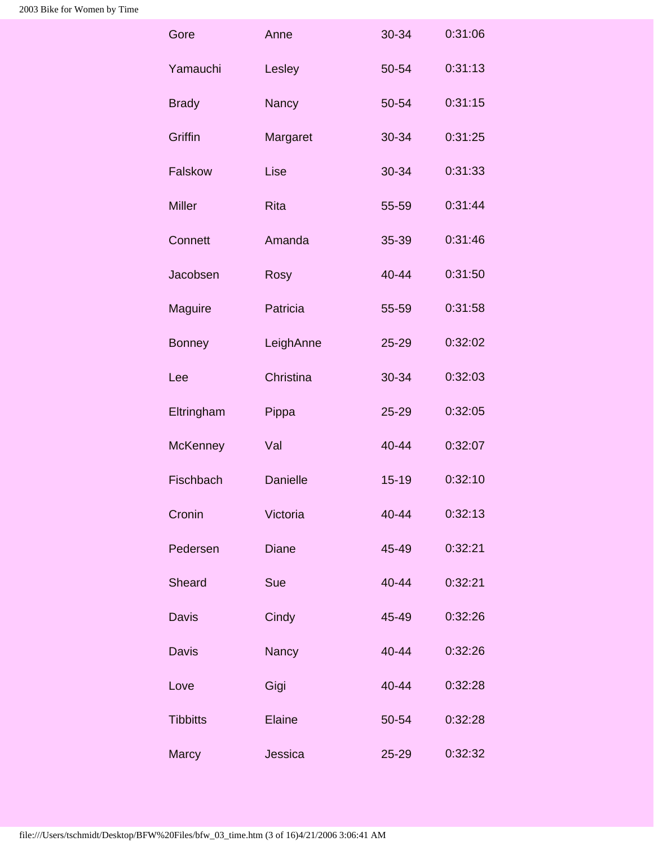| Anne            | 30-34     | 0:31:06 |  |
|-----------------|-----------|---------|--|
| Lesley          | 50-54     | 0:31:13 |  |
| Nancy           | 50-54     | 0:31:15 |  |
| Margaret        | 30-34     | 0:31:25 |  |
| Lise            | 30-34     | 0:31:33 |  |
| <b>Rita</b>     | 55-59     | 0:31:44 |  |
| Amanda          | 35-39     | 0:31:46 |  |
| Rosy            | 40-44     | 0:31:50 |  |
| Patricia        | 55-59     | 0:31:58 |  |
| LeighAnne       | 25-29     | 0:32:02 |  |
| Christina       | 30-34     | 0:32:03 |  |
| Pippa           | 25-29     | 0:32:05 |  |
| Val             | 40-44     | 0:32:07 |  |
| <b>Danielle</b> | $15-19$   | 0:32:10 |  |
| Victoria        | 40-44     | 0:32:13 |  |
| <b>Diane</b>    | 45-49     | 0:32:21 |  |
| Sue             | 40-44     | 0:32:21 |  |
| Cindy           | 45-49     | 0:32:26 |  |
| Nancy           | 40-44     | 0:32:26 |  |
| Gigi            | 40-44     | 0:32:28 |  |
| Elaine          | 50-54     | 0:32:28 |  |
| Jessica         | $25 - 29$ | 0:32:32 |  |
|                 |           |         |  |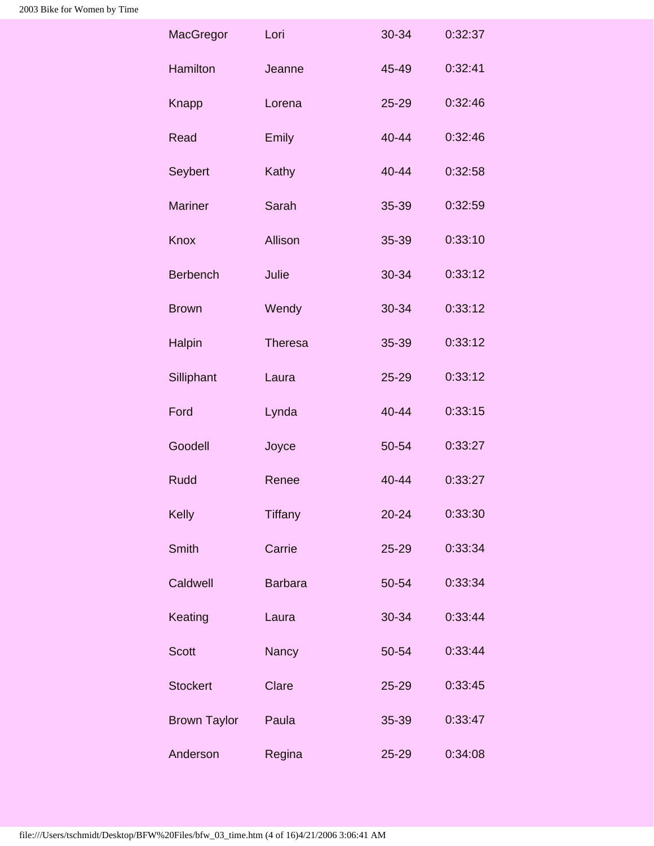| MacGregor           | Lori           | 30-34     | 0:32:37 |
|---------------------|----------------|-----------|---------|
| Hamilton            | Jeanne         | 45-49     | 0:32:41 |
| Knapp               | Lorena         | 25-29     | 0:32:46 |
| Read                | <b>Emily</b>   | 40-44     | 0:32:46 |
| Seybert             | Kathy          | 40-44     | 0:32:58 |
| <b>Mariner</b>      | Sarah          | 35-39     | 0:32:59 |
| <b>Knox</b>         | Allison        | 35-39     | 0:33:10 |
| <b>Berbench</b>     | Julie          | 30-34     | 0:33:12 |
| <b>Brown</b>        | Wendy          | 30-34     | 0:33:12 |
| Halpin              | <b>Theresa</b> | 35-39     | 0:33:12 |
| Silliphant          | Laura          | 25-29     | 0:33:12 |
| Ford                | Lynda          | 40-44     | 0:33:15 |
| Goodell             | Joyce          | 50-54     | 0:33:27 |
| <b>Rudd</b>         | Renee          | 40-44     | 0:33:27 |
| Kelly               | <b>Tiffany</b> | $20 - 24$ | 0:33:30 |
| Smith               | Carrie         | 25-29     | 0:33:34 |
| Caldwell            | <b>Barbara</b> | 50-54     | 0:33:34 |
| Keating             | Laura          | 30-34     | 0:33:44 |
| <b>Scott</b>        | <b>Nancy</b>   | 50-54     | 0:33:44 |
| <b>Stockert</b>     | Clare          | 25-29     | 0:33:45 |
| <b>Brown Taylor</b> | Paula          | 35-39     | 0:33:47 |
| Anderson            | Regina         | 25-29     | 0:34:08 |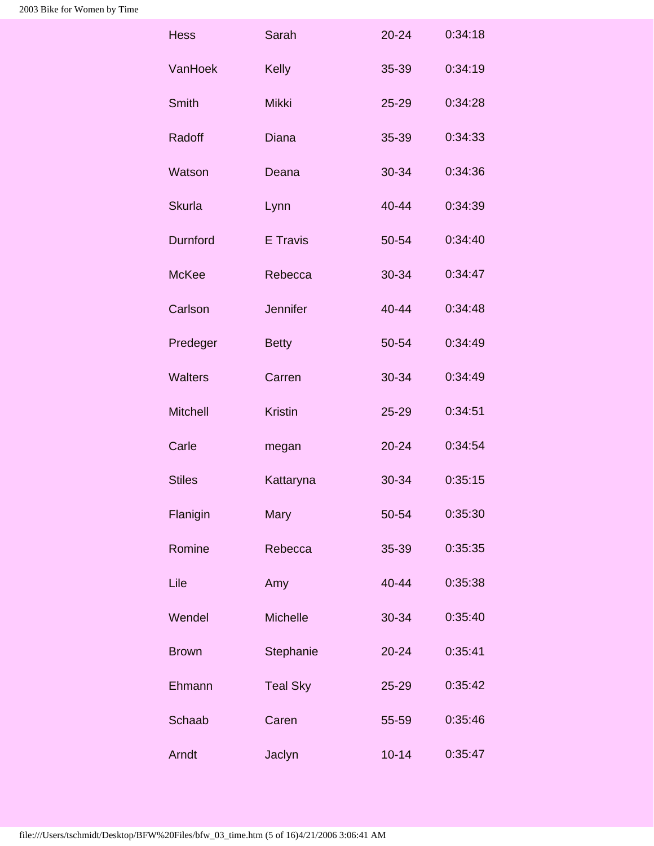| <b>Hess</b>     | Sarah           | $20 - 24$ | 0:34:18 |
|-----------------|-----------------|-----------|---------|
| VanHoek         | <b>Kelly</b>    | 35-39     | 0:34:19 |
| <b>Smith</b>    | <b>Mikki</b>    | $25 - 29$ | 0:34:28 |
| Radoff          | <b>Diana</b>    | 35-39     | 0:34:33 |
| Watson          | Deana           | 30-34     | 0:34:36 |
| <b>Skurla</b>   | Lynn            | 40-44     | 0:34:39 |
| <b>Durnford</b> | E Travis        | 50-54     | 0:34:40 |
| <b>McKee</b>    | Rebecca         | 30-34     | 0:34:47 |
| Carlson         | <b>Jennifer</b> | 40-44     | 0:34:48 |
| Predeger        | <b>Betty</b>    | 50-54     | 0:34:49 |
| <b>Walters</b>  | Carren          | 30-34     | 0:34:49 |
| <b>Mitchell</b> | <b>Kristin</b>  | 25-29     | 0:34:51 |
| Carle           | megan           | $20 - 24$ | 0:34:54 |
| <b>Stiles</b>   | Kattaryna       | 30-34     | 0:35:15 |
| Flanigin        | Mary            | 50-54     | 0:35:30 |
| Romine          | Rebecca         | 35-39     | 0:35:35 |
| Lile            | Amy             | 40-44     | 0:35:38 |
| Wendel          | Michelle        | 30-34     | 0:35:40 |
| <b>Brown</b>    | Stephanie       | 20-24     | 0:35:41 |
| Ehmann          | <b>Teal Sky</b> | 25-29     | 0:35:42 |
| Schaab          | Caren           | 55-59     | 0:35:46 |
| Arndt           | Jaclyn          | $10 - 14$ | 0:35:47 |
|                 |                 |           |         |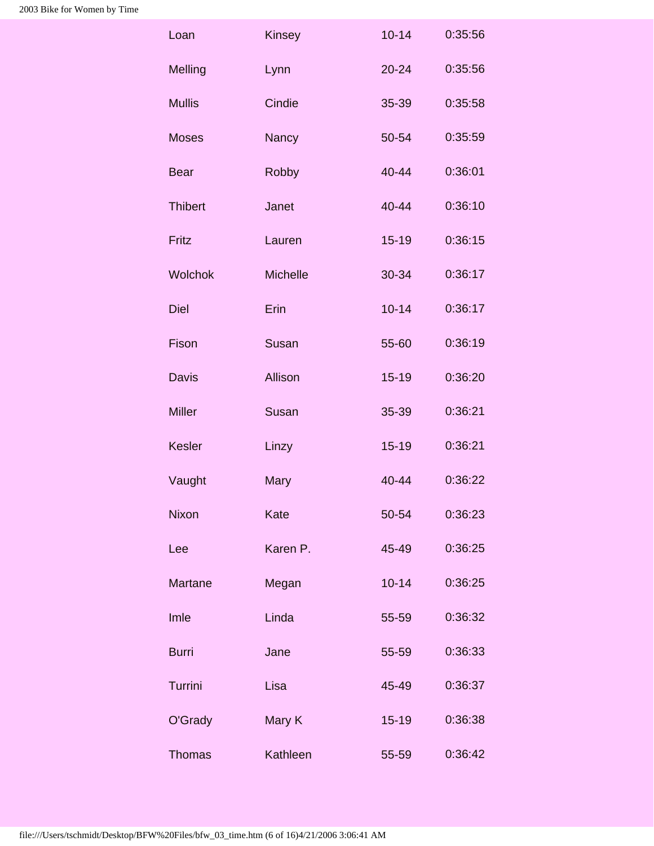| Loan           | Kinsey   | $10 - 14$ | 0:35:56 |
|----------------|----------|-----------|---------|
| Melling        | Lynn     | $20 - 24$ | 0:35:56 |
| <b>Mullis</b>  | Cindie   | 35-39     | 0:35:58 |
| <b>Moses</b>   | Nancy    | 50-54     | 0:35:59 |
| <b>Bear</b>    | Robby    | 40-44     | 0:36:01 |
| <b>Thibert</b> | Janet    | 40-44     | 0:36:10 |
| Fritz          | Lauren   | $15 - 19$ | 0:36:15 |
| <b>Wolchok</b> | Michelle | 30-34     | 0:36:17 |
| <b>Diel</b>    | Erin     | $10 - 14$ | 0:36:17 |
| Fison          | Susan    | 55-60     | 0:36:19 |
| <b>Davis</b>   | Allison  | $15 - 19$ | 0:36:20 |
| <b>Miller</b>  | Susan    | 35-39     | 0:36:21 |
| Kesler         | Linzy    | $15 - 19$ | 0:36:21 |
| Vaught         | Mary     | 40-44     | 0:36:22 |
| Nixon          | Kate     | 50-54     | 0:36:23 |
| Lee            | Karen P. | 45-49     | 0:36:25 |
| Martane        | Megan    | $10 - 14$ | 0:36:25 |
| Imle           | Linda    | 55-59     | 0:36:32 |
| <b>Burri</b>   | Jane     | 55-59     | 0:36:33 |
| Turrini        | Lisa     | 45-49     | 0:36:37 |
| O'Grady        | Mary K   | $15 - 19$ | 0:36:38 |
| <b>Thomas</b>  | Kathleen | 55-59     | 0:36:42 |
|                |          |           |         |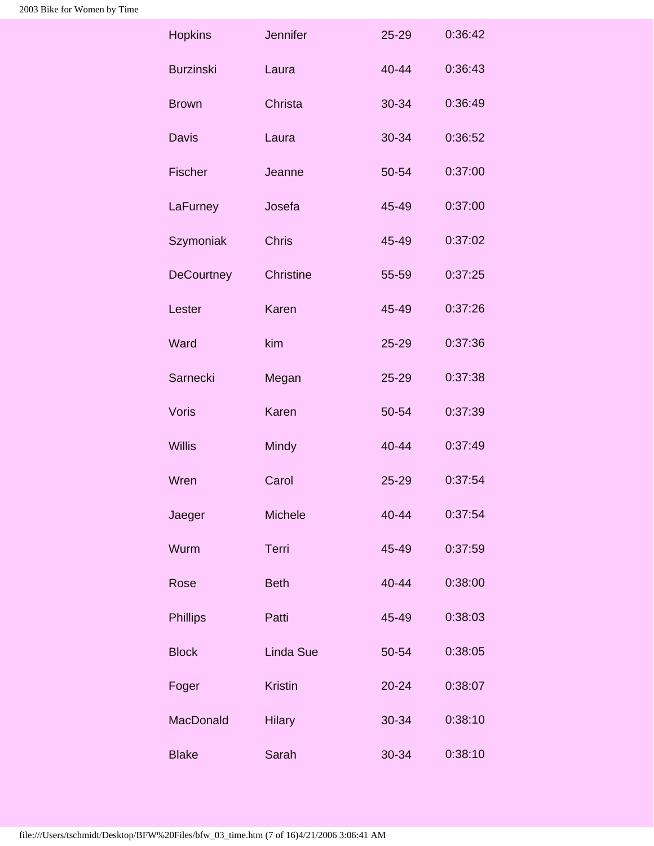| Jennifer         | $25 - 29$ | 0:36:42 |
|------------------|-----------|---------|
| Laura            | $40 - 44$ | 0:36:43 |
| Christa          | 30-34     | 0:36:49 |
| Laura            | 30-34     | 0:36:52 |
| Jeanne           | 50-54     | 0:37:00 |
| Josefa           | 45-49     | 0:37:00 |
| <b>Chris</b>     | 45-49     | 0:37:02 |
| Christine        | 55-59     | 0:37:25 |
| Karen            | 45-49     | 0:37:26 |
| kim              | $25 - 29$ | 0:37:36 |
| Megan            | $25 - 29$ | 0:37:38 |
| Karen            | 50-54     | 0:37:39 |
| Mindy            | 40-44     | 0:37:49 |
| Carol            | $25 - 29$ | 0:37:54 |
| Michele          | 40-44     | 0:37:54 |
| Terri            | 45-49     | 0:37:59 |
| <b>Beth</b>      | 40-44     | 0:38:00 |
| Patti            | 45-49     | 0:38:03 |
| <b>Linda Sue</b> | 50-54     | 0:38:05 |
| <b>Kristin</b>   | $20 - 24$ | 0:38:07 |
| <b>Hilary</b>    | 30-34     | 0:38:10 |
| Sarah            | 30-34     | 0:38:10 |
|                  |           |         |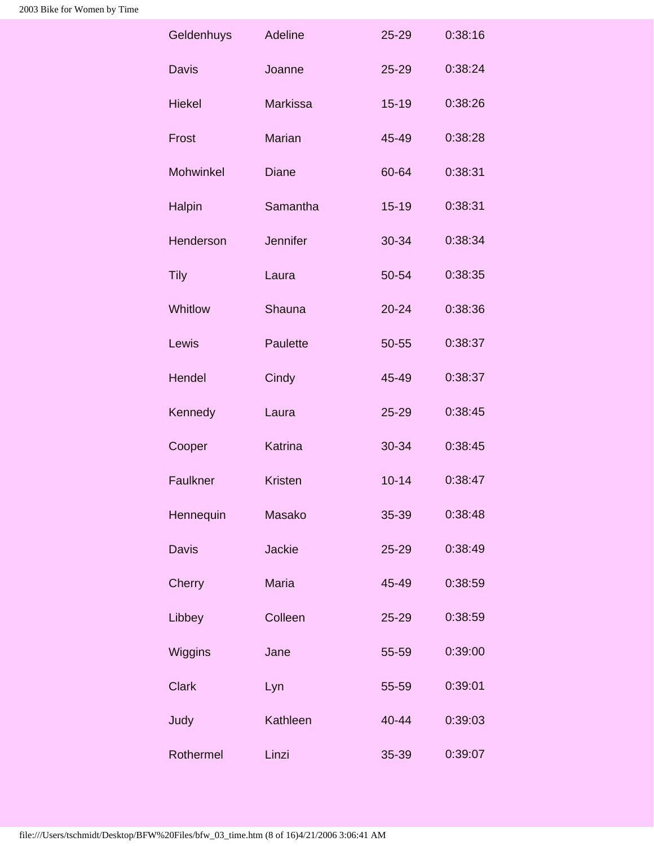| Geldenhuys    | Adeline         | $25 - 29$ | 0:38:16 |
|---------------|-----------------|-----------|---------|
| <b>Davis</b>  | Joanne          | $25 - 29$ | 0:38:24 |
| <b>Hiekel</b> | <b>Markissa</b> | $15 - 19$ | 0:38:26 |
| Frost         | <b>Marian</b>   | 45-49     | 0:38:28 |
| Mohwinkel     | <b>Diane</b>    | 60-64     | 0:38:31 |
| Halpin        | Samantha        | $15 - 19$ | 0:38:31 |
| Henderson     | Jennifer        | 30-34     | 0:38:34 |
| <b>Tily</b>   | Laura           | 50-54     | 0:38:35 |
| Whitlow       | <b>Shauna</b>   | $20 - 24$ | 0:38:36 |
| Lewis         | Paulette        | 50-55     | 0:38:37 |
| Hendel        | Cindy           | 45-49     | 0:38:37 |
| Kennedy       | Laura           | $25 - 29$ | 0:38:45 |
| Cooper        | Katrina         | 30-34     | 0:38:45 |
| Faulkner      | <b>Kristen</b>  | $10 - 14$ | 0:38:47 |
| Hennequin     | Masako          | 35-39     | 0:38:48 |
| <b>Davis</b>  | <b>Jackie</b>   | 25-29     | 0:38:49 |
| Cherry        | <b>Maria</b>    | 45-49     | 0:38:59 |
| Libbey        | Colleen         | 25-29     | 0:38:59 |
| Wiggins       | Jane            | 55-59     | 0:39:00 |
| <b>Clark</b>  | Lyn             | 55-59     | 0:39:01 |
| Judy          | Kathleen        | 40-44     | 0:39:03 |
| Rothermel     | Linzi           | 35-39     | 0:39:07 |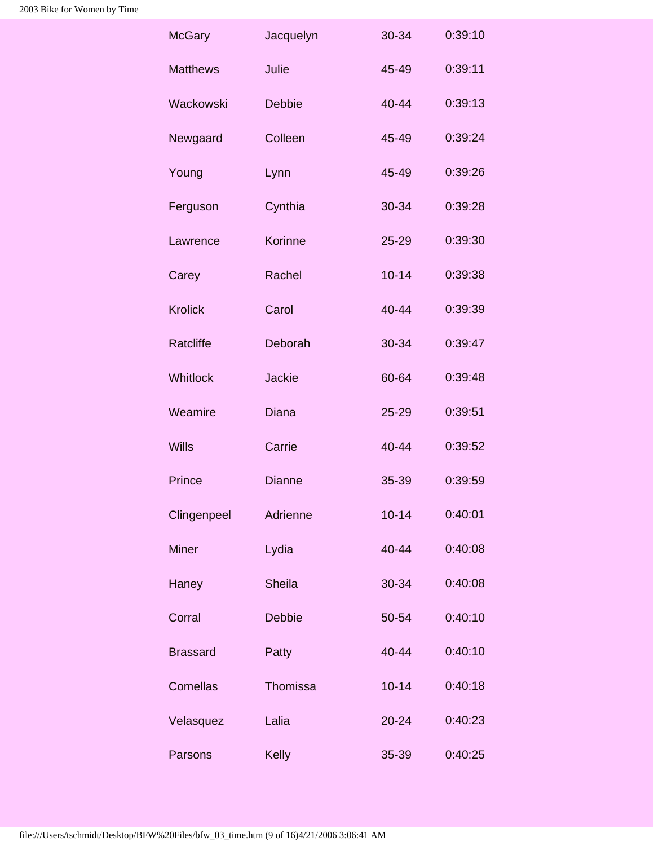| <b>McGary</b>   | Jacquelyn     | 30-34     | 0:39:10 |
|-----------------|---------------|-----------|---------|
| <b>Matthews</b> | Julie         | 45-49     | 0:39:11 |
| Wackowski       | <b>Debbie</b> | $40 - 44$ | 0:39:13 |
| Newgaard        | Colleen       | 45-49     | 0:39:24 |
| Young           | Lynn          | 45-49     | 0:39:26 |
| Ferguson        | Cynthia       | 30-34     | 0:39:28 |
| Lawrence        | Korinne       | 25-29     | 0:39:30 |
| Carey           | Rachel        | $10 - 14$ | 0:39:38 |
| <b>Krolick</b>  | Carol         | 40-44     | 0:39:39 |
| Ratcliffe       | Deborah       | 30-34     | 0:39:47 |
| <b>Whitlock</b> | <b>Jackie</b> | 60-64     | 0:39:48 |
| Weamire         | <b>Diana</b>  | 25-29     | 0:39:51 |
| <b>Wills</b>    | Carrie        | 40-44     | 0:39:52 |
| Prince          | <b>Dianne</b> | 35-39     | 0:39:59 |
| Clingenpeel     | Adrienne      | $10 - 14$ | 0:40:01 |
| <b>Miner</b>    | Lydia         | 40-44     | 0:40:08 |
| Haney           | <b>Sheila</b> | 30-34     | 0:40:08 |
| Corral          | <b>Debbie</b> | 50-54     | 0:40:10 |
| <b>Brassard</b> | Patty         | 40-44     | 0:40:10 |
| Comellas        | Thomissa      | $10 - 14$ | 0:40:18 |
| Velasquez       | Lalia         | $20 - 24$ | 0:40:23 |
| Parsons         | Kelly         | 35-39     | 0:40:25 |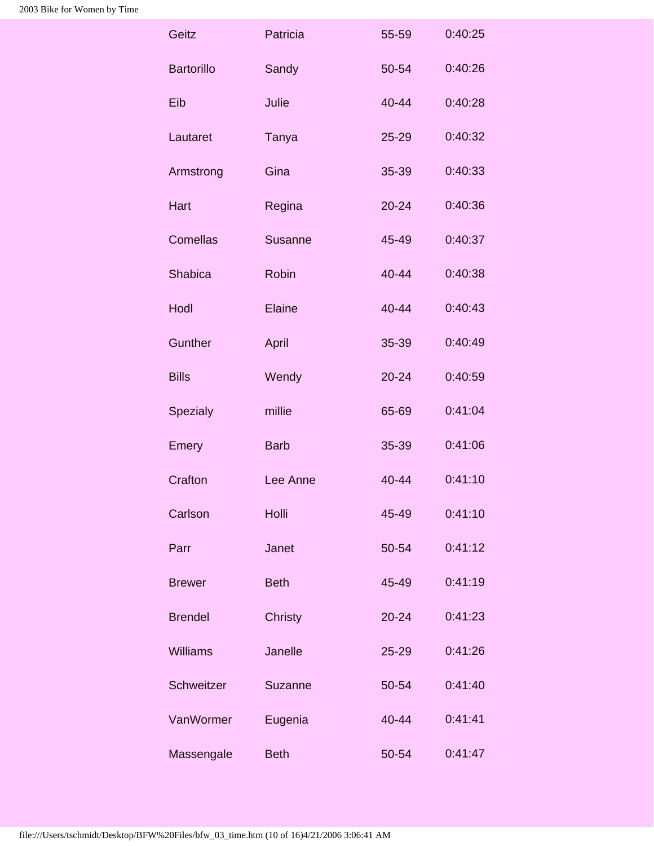| Patricia       | 55-59     | 0:40:25 |
|----------------|-----------|---------|
| Sandy          | 50-54     | 0:40:26 |
| Julie          | 40-44     | 0:40:28 |
| Tanya          | $25 - 29$ | 0:40:32 |
| Gina           | 35-39     | 0:40:33 |
| Regina         | $20 - 24$ | 0:40:36 |
| Susanne        | 45-49     | 0:40:37 |
| <b>Robin</b>   | 40-44     | 0:40:38 |
| Elaine         | 40-44     | 0:40:43 |
| April          | 35-39     | 0:40:49 |
| Wendy          | $20 - 24$ | 0:40:59 |
| millie         | 65-69     | 0:41:04 |
| <b>Barb</b>    | 35-39     | 0:41:06 |
| Lee Anne       | 40-44     | 0:41:10 |
| Holli          | 45-49     | 0:41:10 |
| Janet          | 50-54     | 0:41:12 |
| <b>Beth</b>    | 45-49     | 0:41:19 |
| <b>Christy</b> | $20 - 24$ | 0:41:23 |
| Janelle        | 25-29     | 0:41:26 |
| Suzanne        | 50-54     | 0:41:40 |
| Eugenia        | 40-44     | 0:41:41 |
| <b>Beth</b>    | 50-54     | 0:41:47 |
|                |           |         |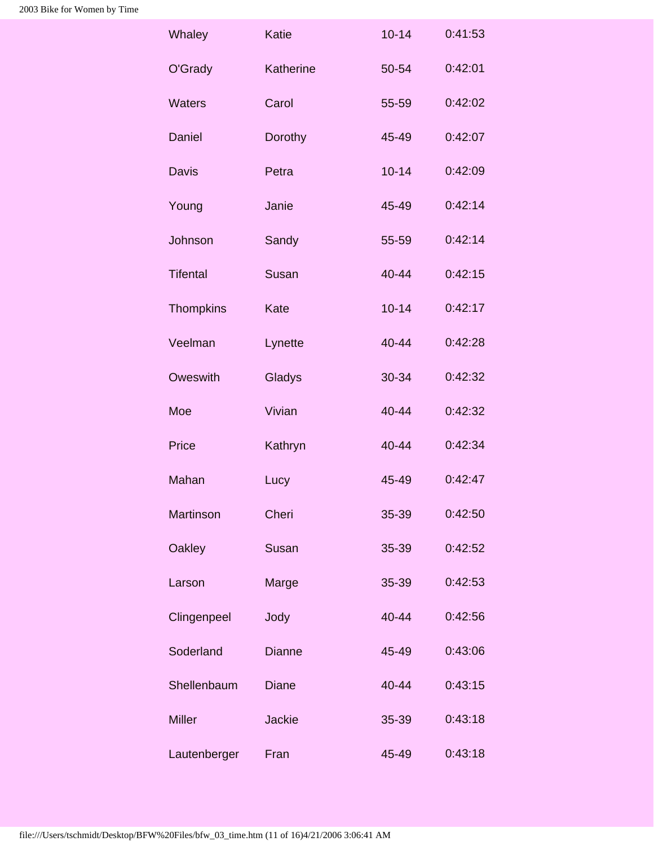| Whaley           | Katie         | $10 - 14$ | 0:41:53 |
|------------------|---------------|-----------|---------|
| O'Grady          | Katherine     | 50-54     | 0:42:01 |
| <b>Waters</b>    | Carol         | 55-59     | 0:42:02 |
| Daniel           | Dorothy       | 45-49     | 0:42:07 |
| <b>Davis</b>     | Petra         | $10 - 14$ | 0:42:09 |
| Young            | Janie         | 45-49     | 0:42:14 |
| Johnson          | Sandy         | 55-59     | 0:42:14 |
| <b>Tifental</b>  | Susan         | $40 - 44$ | 0:42:15 |
| <b>Thompkins</b> | Kate          | $10 - 14$ | 0:42:17 |
| Veelman          | Lynette       | 40-44     | 0:42:28 |
| Oweswith         | Gladys        | 30-34     | 0:42:32 |
| Moe              | Vivian        | 40-44     | 0:42:32 |
| Price            | Kathryn       | 40-44     | 0:42:34 |
| Mahan            | Lucy          | 45-49     | 0:42:47 |
| Martinson        | Cheri         | 35-39     | 0:42:50 |
| Oakley           | Susan         | 35-39     | 0:42:52 |
| Larson           | Marge         | 35-39     | 0:42:53 |
| Clingenpeel      | Jody          | $40 - 44$ | 0:42:56 |
| Soderland        | <b>Dianne</b> | 45-49     | 0:43:06 |
| Shellenbaum      | <b>Diane</b>  | 40-44     | 0:43:15 |
| <b>Miller</b>    | <b>Jackie</b> | 35-39     | 0:43:18 |
| Lautenberger     | Fran          | 45-49     | 0:43:18 |
|                  |               |           |         |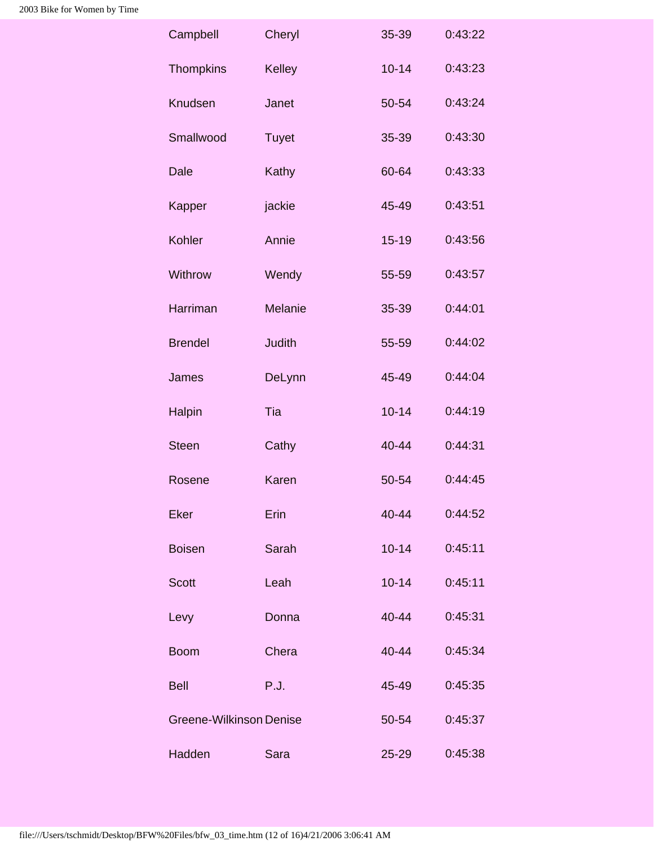| Campbell                | Cheryl        | 35-39     | 0:43:22 |
|-------------------------|---------------|-----------|---------|
| <b>Thompkins</b>        | Kelley        | $10 - 14$ | 0:43:23 |
| Knudsen                 | Janet         | 50-54     | 0:43:24 |
| Smallwood               | <b>Tuyet</b>  | 35-39     | 0:43:30 |
| Dale                    | Kathy         | 60-64     | 0:43:33 |
| Kapper                  | jackie        | 45-49     | 0:43:51 |
| Kohler                  | Annie         | $15 - 19$ | 0:43:56 |
| Withrow                 | Wendy         | 55-59     | 0:43:57 |
| Harriman                | Melanie       | 35-39     | 0:44:01 |
| <b>Brendel</b>          | <b>Judith</b> | 55-59     | 0:44:02 |
| James                   | DeLynn        | 45-49     | 0:44:04 |
| Halpin                  | Tia           | $10 - 14$ | 0:44:19 |
| <b>Steen</b>            | Cathy         | 40-44     | 0:44:31 |
| Rosene                  | Karen         | 50-54     | 0:44:45 |
| <b>Eker</b>             | Erin          | 40-44     | 0:44:52 |
| <b>Boisen</b>           | Sarah         | $10 - 14$ | 0:45:11 |
| <b>Scott</b>            | Leah          | $10 - 14$ | 0:45:11 |
| Levy                    | Donna         | 40-44     | 0:45:31 |
| <b>Boom</b>             | Chera         | 40-44     | 0:45:34 |
| <b>Bell</b>             | P.J.          | 45-49     | 0:45:35 |
| Greene-Wilkinson Denise |               | 50-54     | 0:45:37 |
| Hadden                  | Sara          | $25 - 29$ | 0:45:38 |
|                         |               |           |         |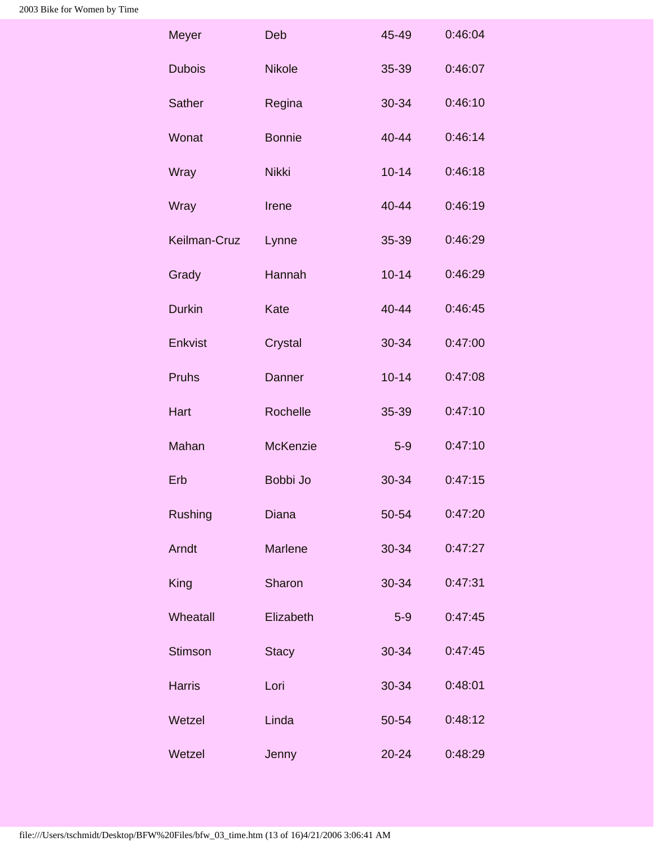| Meyer          | Deb             | 45-49     | 0:46:04 |
|----------------|-----------------|-----------|---------|
| <b>Dubois</b>  | <b>Nikole</b>   | 35-39     | 0:46:07 |
| <b>Sather</b>  | Regina          | 30-34     | 0:46:10 |
| Wonat          | <b>Bonnie</b>   | 40-44     | 0:46:14 |
| Wray           | <b>Nikki</b>    | $10 - 14$ | 0:46:18 |
| Wray           | Irene           | 40-44     | 0:46:19 |
| Keilman-Cruz   | Lynne           | 35-39     | 0:46:29 |
| Grady          | Hannah          | $10 - 14$ | 0:46:29 |
| <b>Durkin</b>  | Kate            | $40 - 44$ | 0:46:45 |
| Enkvist        | Crystal         | 30-34     | 0:47:00 |
| Pruhs          | Danner          | $10 - 14$ | 0:47:08 |
| Hart           | Rochelle        | 35-39     | 0:47:10 |
| Mahan          | <b>McKenzie</b> | $5-9$     | 0:47:10 |
| Erb            | Bobbi Jo        | 30-34     | 0:47:15 |
| <b>Rushing</b> | <b>Diana</b>    | 50-54     | 0:47:20 |
| Arndt          | Marlene         | 30-34     | 0:47:27 |
| King           | Sharon          | 30-34     | 0:47:31 |
| Wheatall       | Elizabeth       | $5-9$     | 0:47:45 |
| <b>Stimson</b> | <b>Stacy</b>    | 30-34     | 0:47:45 |
| <b>Harris</b>  | Lori            | 30-34     | 0:48:01 |
| Wetzel         | Linda           | 50-54     | 0:48:12 |
| Wetzel         | Jenny           | $20 - 24$ | 0:48:29 |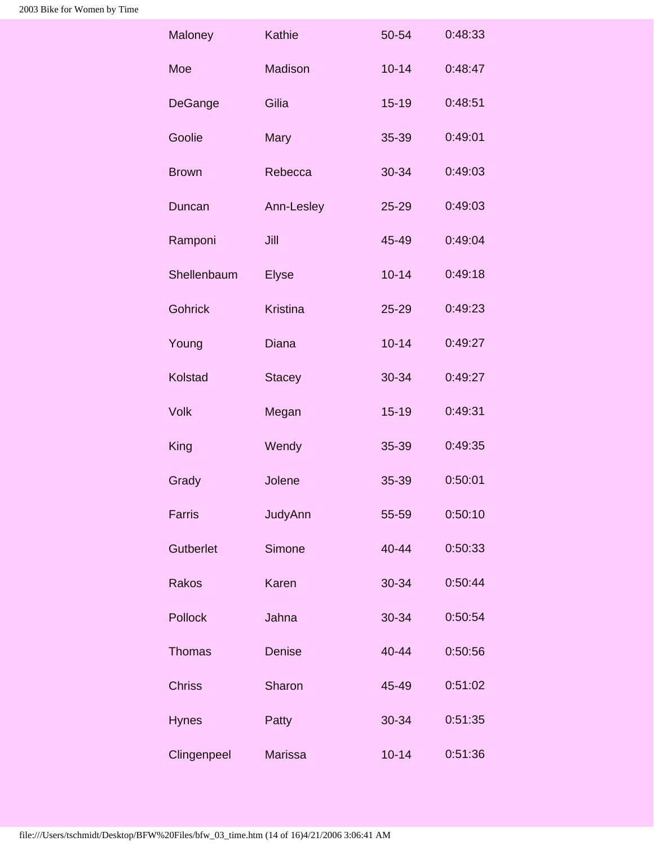| Maloney        | Kathie          | 50-54     | 0:48:33 |
|----------------|-----------------|-----------|---------|
| Moe            | Madison         | $10 - 14$ | 0:48:47 |
| DeGange        | Gilia           | $15 - 19$ | 0:48:51 |
| Goolie         | Mary            | 35-39     | 0:49:01 |
| <b>Brown</b>   | Rebecca         | 30-34     | 0:49:03 |
| Duncan         | Ann-Lesley      | 25-29     | 0:49:03 |
| Ramponi        | Jill            | $45 - 49$ | 0:49:04 |
| Shellenbaum    | <b>Elyse</b>    | $10 - 14$ | 0:49:18 |
| <b>Gohrick</b> | <b>Kristina</b> | 25-29     | 0:49:23 |
| Young          | <b>Diana</b>    | $10 - 14$ | 0:49:27 |
| Kolstad        | <b>Stacey</b>   | 30-34     | 0:49:27 |
| <b>Volk</b>    | Megan           | $15 - 19$ | 0:49:31 |
| King           | Wendy           | 35-39     | 0:49:35 |
| Grady          | Jolene          | 35-39     | 0:50:01 |
| Farris         | JudyAnn         | 55-59     | 0:50:10 |
| Gutberlet      | Simone          | 40-44     | 0:50:33 |
| Rakos          | Karen           | 30-34     | 0:50:44 |
| Pollock        | Jahna           | 30-34     | 0:50:54 |
| Thomas         | Denise          | 40-44     | 0:50:56 |
| <b>Chriss</b>  | Sharon          | 45-49     | 0:51:02 |
| <b>Hynes</b>   | Patty           | 30-34     | 0:51:35 |
| Clingenpeel    | <b>Marissa</b>  | $10 - 14$ | 0:51:36 |
|                |                 |           |         |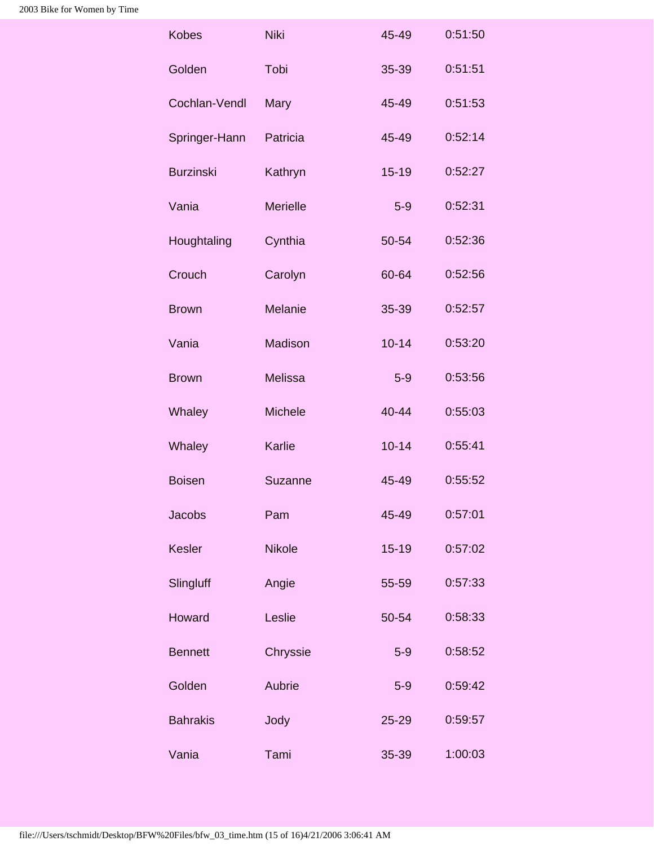| <b>Niki</b>     | 45-49     | 0:51:50 |
|-----------------|-----------|---------|
| Tobi            | 35-39     | 0:51:51 |
| Mary            | 45-49     | 0:51:53 |
| Patricia        | 45-49     | 0:52:14 |
| Kathryn         | $15 - 19$ | 0:52:27 |
| <b>Merielle</b> | $5-9$     | 0:52:31 |
| Cynthia         | 50-54     | 0:52:36 |
| Carolyn         | 60-64     | 0:52:56 |
| Melanie         | 35-39     | 0:52:57 |
| Madison         | $10 - 14$ | 0:53:20 |
| <b>Melissa</b>  | $5-9$     | 0:53:56 |
| Michele         | 40-44     | 0:55:03 |
| Karlie          | $10 - 14$ | 0:55:41 |
| Suzanne         | 45-49     | 0:55:52 |
| Pam             | 45-49     | 0:57:01 |
| <b>Nikole</b>   | $15 - 19$ | 0:57:02 |
| Angie           | 55-59     | 0:57:33 |
| Leslie          | 50-54     | 0:58:33 |
| Chryssie        | $5-9$     | 0:58:52 |
| Aubrie          | $5-9$     | 0:59:42 |
| Jody            | 25-29     | 0:59:57 |
| Tami            | 35-39     | 1:00:03 |
|                 |           |         |